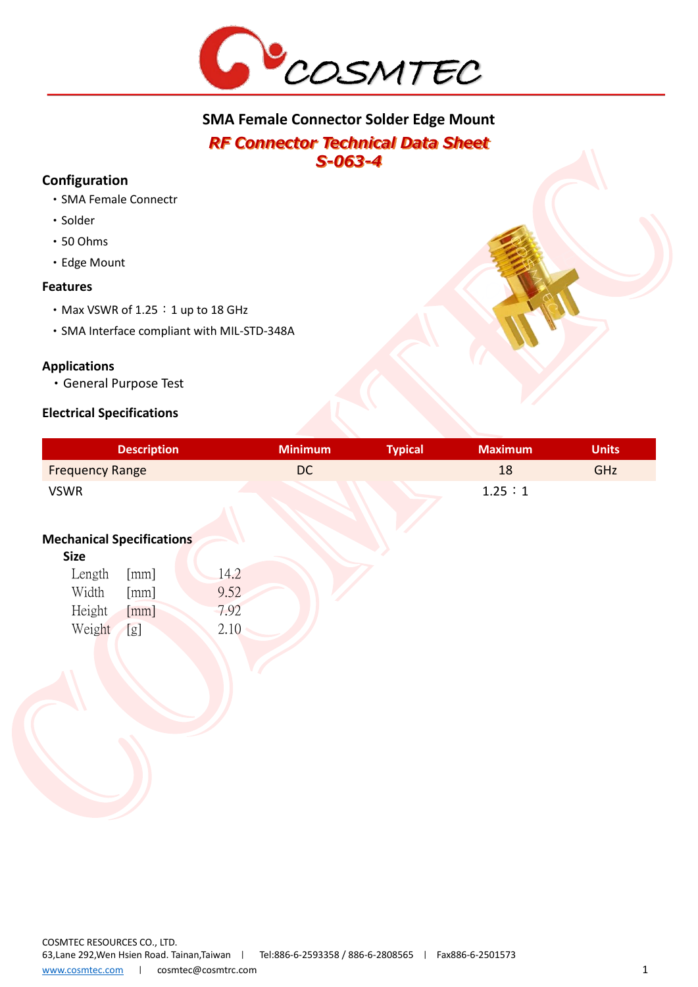

# **SMA Female Connector Solder Edge Mount** *RF Connector Technical Data Sheet*

*S-063-4* 

# **Configuration**

- •SMA Female Connectr
- Solder
- •50 Ohms
- •Edge Mount

## **Features**

- Max VSWR of 1.25 : 1 up to 18 GHz
- •SMA Interface compliant with MIL-STD-348A

# **Applications**

•General Purpose Test

# **Electrical Specifications**

|                                  | <b>Description</b> | <b>Minimum</b> | <b>Typical</b> | <b>Maximum</b> | <b>Units</b> |
|----------------------------------|--------------------|----------------|----------------|----------------|--------------|
| <b>Frequency Range</b>           |                    | <b>DC</b>      |                | 18             | GHZ          |
| <b>VSWR</b>                      |                    |                |                | 1.25:1         |              |
| <b>Mechanical Specifications</b> |                    |                |                |                |              |
| <b>Size</b>                      |                    |                |                |                |              |
| Length                           | [mm]               | 14.2           |                |                |              |
| Width                            | [mm]               | 9.52           |                |                |              |
| Height                           | [mm]               | 7.92           |                |                |              |
| Weight                           | [g]                | 2.10           |                |                |              |
|                                  |                    |                |                |                |              |
|                                  |                    |                |                |                |              |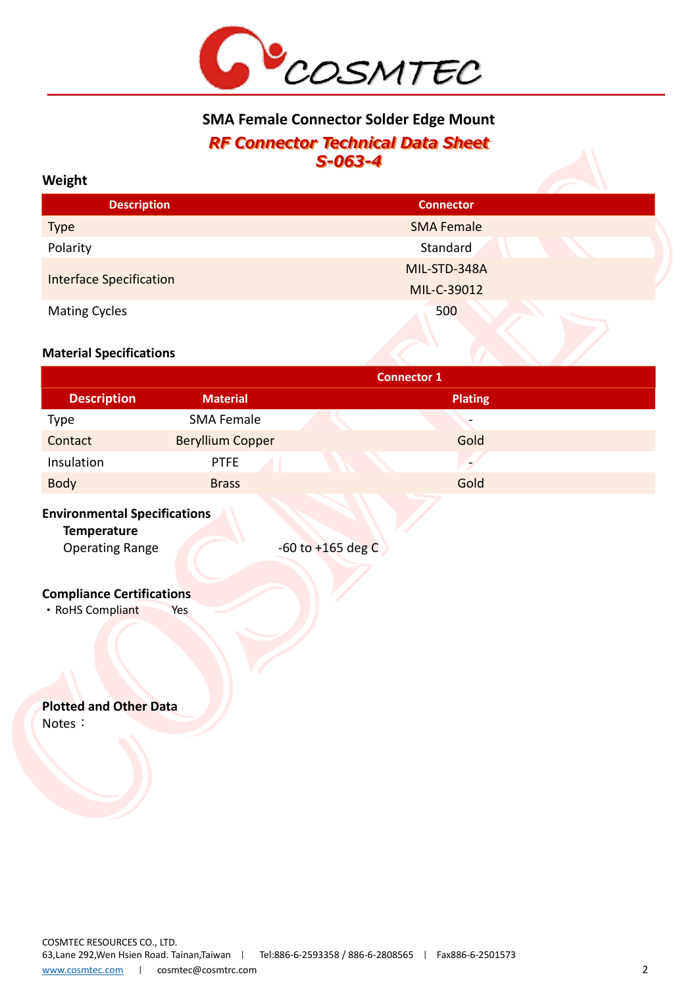

# **SMA Female Connector Solder Edge Mount** *RF Connector Technical Data Sheet S-063-4*

#### **Weight**

| <b>Description</b>             | <b>Connector</b>  |  |
|--------------------------------|-------------------|--|
| <b>Type</b>                    | <b>SMA Female</b> |  |
| Polarity                       | Standard          |  |
|                                | MIL-STD-348A      |  |
| <b>Interface Specification</b> | MIL-C-39012       |  |
| <b>Mating Cycles</b>           | 500               |  |

#### **Material Specifications**

| <b>Connector 1</b>      |                |  |  |
|-------------------------|----------------|--|--|
| <b>Material</b>         | <b>Plating</b> |  |  |
| <b>SMA Female</b>       |                |  |  |
| <b>Beryllium Copper</b> | Gold           |  |  |
| <b>PTFE</b>             |                |  |  |
| <b>Brass</b>            | Gold           |  |  |
|                         |                |  |  |

## **Environmental Specifications**

**Temperature**

Operating Range -60 to +165 deg C

## **Compliance Certifications**

• RoHS Compliant Yes

# **Plotted and Other Data**

Notes: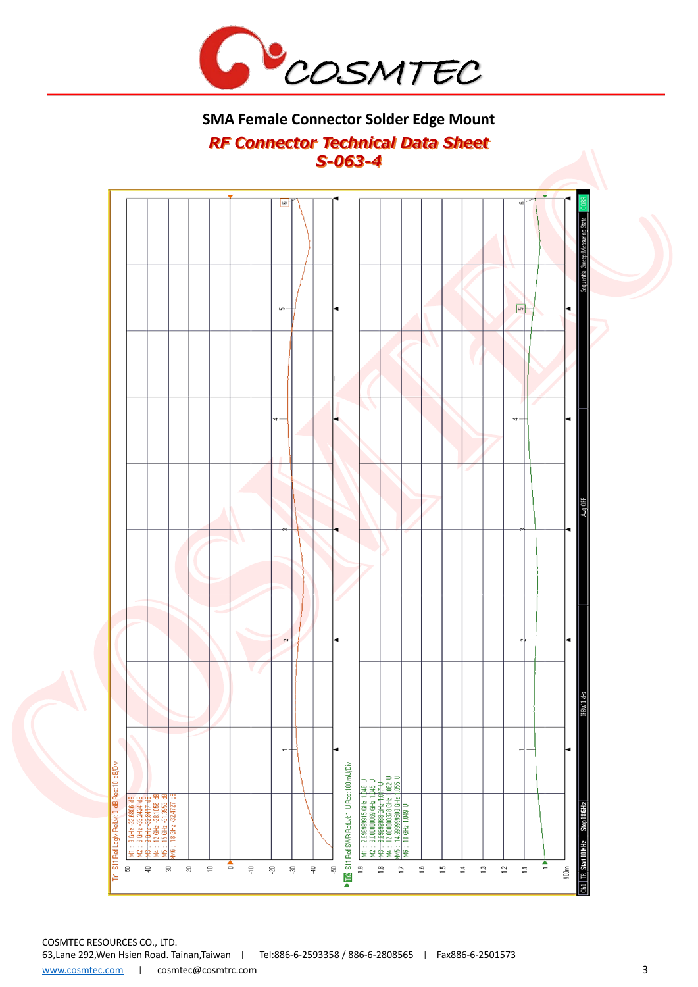

# **SMA Female Connector Solder Edge Mount** *RF Connector Technical Data Sheet S-063-4*